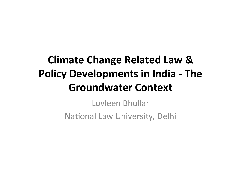### **Climate Change Related Law & Policy Developments in India - The Groundwater Context**

Lovleen Bhullar National Law University, Delhi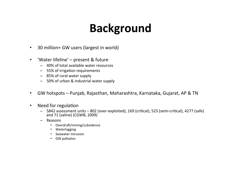# **Background**

- 30 million+ GW users (largest in world)
- 'Water lifeline' present & future
	- $-40\%$  of total available water resources
	- 55% of irrigation requirements
	- 85% of rural water supply
	- 50% of urban & industrial water supply
- GW hotspots Punjab, Rajasthan, Maharashtra, Karnataka, Gujarat, AP & TN
- Need for regulation
	- 5842 assessment units 802 (over-exploited), 169 (critical), 523 (semi-critical), 4277 (safe) and 71 (saline) (CGWB, 2009)
	- Reasons
		- Overdraft/mining/subsidence
		- Waterlogging
		- Seawater intrusion
		- GW pollution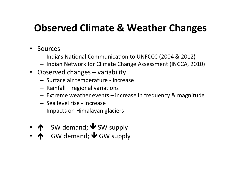#### **Observed Climate & Weather Changes**

- Sources
	- India's National Communication to UNFCCC (2004 & 2012)
	- $-$  Indian Network for Climate Change Assessment (INCCA, 2010)
- Observed changes variability
	- Surface air temperature increase
	- $-$  Rainfall  $-$  regional variations
	- $-$  Extreme weather events  $-$  increase in frequency & magnitude
	- Sea level rise - increase
	- $-$  Impacts on Himalayan glaciers
- $\uparrow$  SW demand;  $\uparrow$  SW supply
- $\overline{\mathbf{A}}$  GW demand;  $\overline{\mathbf{\Psi}}$  GW supply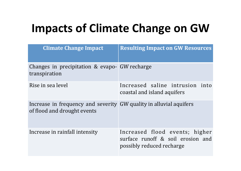# **Impacts of Climate Change on GW**

| <b>Climate Change Impact</b>                                                                      | <b>Resulting Impact on GW Resources</b>                                                          |
|---------------------------------------------------------------------------------------------------|--------------------------------------------------------------------------------------------------|
| Changes in precipitation & evapo-GW recharge<br>transpiration                                     |                                                                                                  |
| Rise in sea level                                                                                 | Increased saline intrusion into<br>coastal and island aquifers                                   |
| Increase in frequency and severity GW quality in alluvial aquifers<br>of flood and drought events |                                                                                                  |
| Increase in rainfall intensity                                                                    | Increased flood events; higher<br>surface runoff & soil erosion and<br>possibly reduced recharge |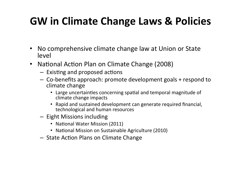### **GW** in Climate Change Laws & Policies

- No comprehensive climate change law at Union or State level
- National Action Plan on Climate Change (2008)
	- $-$  Existing and proposed actions
	- $-$  Co-benefits approach: promote development goals + respond to climate change
		- Large uncertainties concerning spatial and temporal magnitude of climate change impacts
		- Rapid and sustained development can generate required financial, technological and human resources
	- Eight Missions including
		- National Water Mission (2011)
		- National Mission on Sustainable Agriculture (2010)
	- State Action Plans on Climate Change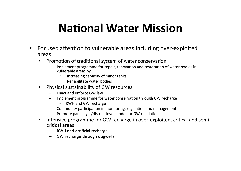### **National Water Mission**

- Focused attention to vulnerable areas including over-exploited areas
	- Promotion of traditional system of water conservation
		- Implement programme for repair, renovation and restoration of water bodies in vulnerable areas by
			- Increasing capacity of minor tanks
			- Rehabilitate water bodies
	- Physical sustainability of GW resources
		- $-$  Enact and enforce GW law
		- Implement programme for water conservation through GW recharge
			- RWH and GW recharge
		- Community participation in monitoring, regulation and management
		- Promote panchayat/district-level model for GW regulation
	- Intensive programme for GW recharge in over-exploited, critical and semicritical areas
		- $-$  RWH and artificial recharge
		- $-$  GW recharge through dugwells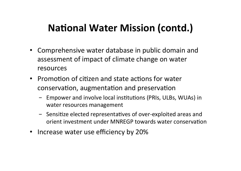### **National Water Mission (contd.)**

- Comprehensive water database in public domain and assessment of impact of climate change on water resources
- Promotion of citizen and state actions for water conservation, augmentation and preservation
	- Empower and involve local institutions (PRIs, ULBs, WUAs) in water resources management
	- Sensitize elected representatives of over-exploited areas and orient investment under MNREGP towards water conservation
- Increase water use efficiency by 20%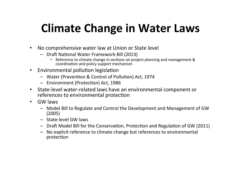## **Climate Change in Water Laws**

- No comprehensive water law at Union or State level
	- Draft National Water Framework Bill (2013)
		- Reference to climate change in sections on project planning and management & coordination and policy support mechanism
- Environmental pollution legislation
	- Water (Prevention & Control of Pollution) Act, 1974
	- Environment (Protection) Act, 1986
- State-level water-related laws have an environmental component or references to environmental protection
- GW laws
	- Model Bill to Regulate and Control the Development and Management of GW (2005)
	- State-level GW laws
	- Draft Model Bill for the Conservation, Protection and Regulation of GW (2011)
	- $-$  No explicit reference to climate change but references to environmental protection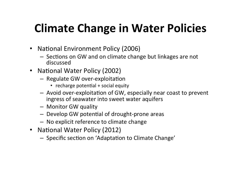# **Climate Change in Water Policies**

- National Environment Policy (2006)
	- $-$  Sections on GW and on climate change but linkages are not discussed
- National Water Policy (2002)
	- Regulate GW over-exploitation
		- $\cdot$  recharge potential + social equity
	- $-$  Avoid over-exploitation of GW, especially near coast to prevent ingress of seawater into sweet water aquifers
	- Monitor GW quality
	- Develop GW potential of drought-prone areas
	- No explicit reference to climate change
- National Water Policy (2012)
	- Specific section on 'Adaptation to Climate Change'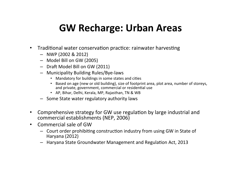#### **GW Recharge: Urban Areas**

- Traditional water conservation practice: rainwater harvesting
	- $-$  NWP (2002 & 2012)
	- Model Bill on GW (2005)
	- Draft Model Bill on GW (2011)
	- Municipality Building Rules/Bye-laws
		- Mandatory for buildings in some states and cities
		- Based on age (new or old building), size of footprint area, plot area, number of storeys, and private, government, commercial or residential use
		- AP, Bihar, Delhi, Kerala, MP, Rajasthan, TN & WB
	- $-$  Some State water regulatory authority laws
- Comprehensive strategy for GW use regulation by large industrial and commercial establishments (NEP, 2006)
- Commercial sale of GW
	- $-$  Court order prohibiting construction industry from using GW in State of Haryana (2012)
	- Haryana State Groundwater Management and Regulation Act, 2013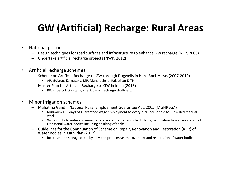#### **GW (Artificial) Recharge: Rural Areas**

- National policies
	- Design techniques for road surfaces and infrastructure to enhance GW recharge (NEP, 2006)
	- Undertake artificial recharge projects (NWP, 2012)
- Artificial recharge schemes
	- Scheme on Artificial Recharge to GW through Dugwells in Hard Rock Areas (2007-2010)
		- AP, Gujarat, Karnataka, MP, Maharashtra, Rajasthan & TN
	- Master Plan for Artificial Recharge to GW in India (2013)
		- RWH, percolation tank, check dams, recharge shafts etc.
- **Minor irrigation schemes** 
	- Mahatma Gandhi National Rural Employment Guarantee Act, 2005 (MGNREGA)
		- Minimum 100 days of guaranteed wage employment to every rural household for unskilled manual work
		- Works include water conservation and water harvesting, check dams, percolation tanks, renovation of traditional water bodies including desilting of tanks
	- Guidelines for the Continuation of Scheme on Repair, Renovation and Restoration (RRR) of Water Bodies in XIIth Plan (2013)
		- Increase tank storage capacity by comprehensive improvement and restoration of water bodies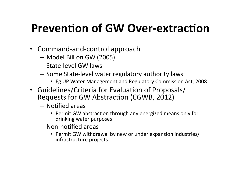## **Prevention of GW Over-extraction**

- Command-and-control approach
	- Model Bill on GW (2005)
	- State-level GW laws
	- $-$  Some State-level water regulatory authority laws
		- Eg UP Water Management and Regulatory Commission Act, 2008
- Guidelines/Criteria for Evaluation of Proposals/ Requests for GW Abstraction (CGWB, 2012)
	- Notified areas
		- Permit GW abstraction through any energized means only for drinking water purposes
	- Non-notified areas
		- Permit GW withdrawal by new or under expansion industries/ infrastructure projects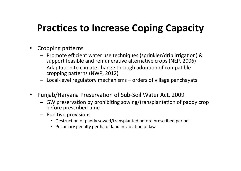#### **Practices to Increase Coping Capacity**

- Cropping patterns
	- $-$  Promote efficient water use techniques (sprinkler/drip irrigation) & support feasible and remunerative alternative crops (NEP, 2006)
	- $-$  Adaptation to climate change through adoption of compatible cropping patterns (NWP, 2012)
	- $-$  Local-level regulatory mechanisms  $-$  orders of village panchayats
- Punjab/Haryana Preservation of Sub-Soil Water Act, 2009
	- $-$  GW preservation by prohibiting sowing/transplantation of paddy crop before prescribed time
	- $-$  Punitive provisions
		- Destruction of paddy sowed/transplanted before prescribed period
		- Pecuniary penalty per ha of land in violation of law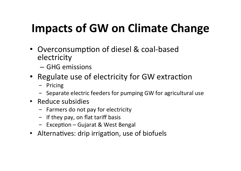# **Impacts of GW on Climate Change**

- Overconsumption of diesel & coal-based electricity
	- GHG emissions
- Regulate use of electricity for GW extraction
	- Pricing
	- Separate electric feeders for pumping GW for agricultural use
- Reduce subsidies
	- Farmers do not pay for electricity
	- $-$  If they pay, on flat tariff basis
	- $-$  Exception Gujarat & West Bengal
- Alternatives: drip irrigation, use of biofuels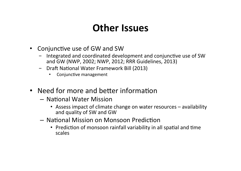#### **Other Issues**

- Conjunctive use of GW and SW
	- Integrated and coordinated development and conjunctive use of SW and GW (NWP, 2002; NWP, 2012; RRR Guidelines, 2013)
	- **Draft National Water Framework Bill (2013)** 
		- Conjunctive management
- Need for more and better information
	- National Water Mission
		- Assess impact of climate change on water resources availability and quality of SW and GW
	- $-$  National Mission on Monsoon Prediction
		- Prediction of monsoon rainfall variability in all spatial and time scales